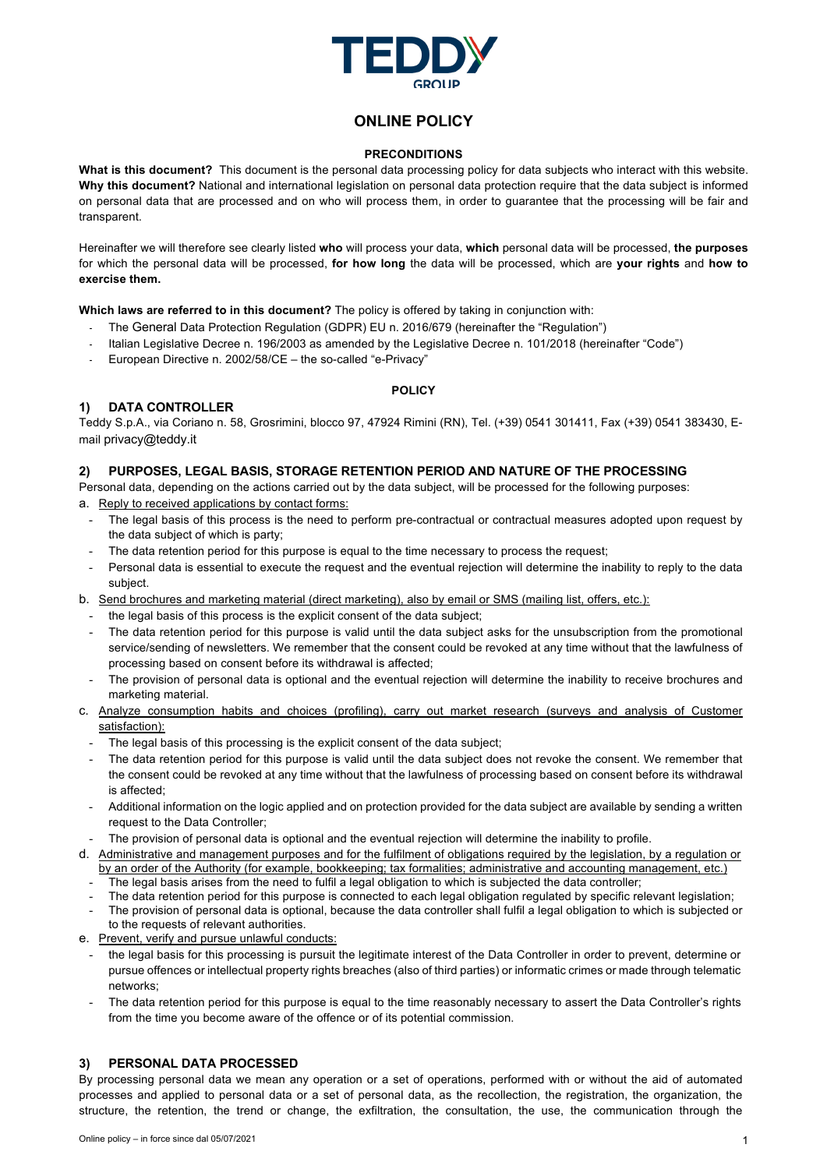

# **ONLINE POLICY**

#### **PRECONDITIONS**

**What is this document?** This document is the personal data processing policy for data subjects who interact with this website. **Why this document?** National and international legislation on personal data protection require that the data subject is informed on personal data that are processed and on who will process them, in order to guarantee that the processing will be fair and transparent.

Hereinafter we will therefore see clearly listed **who** will process your data, **which** personal data will be processed, **the purposes** for which the personal data will be processed, **for how long** the data will be processed, which are **your rights** and **how to exercise them.**

**Which laws are referred to in this document?** The policy is offered by taking in conjunction with:

- The General Data Protection Regulation (GDPR) EU n. 2016/679 (hereinafter the "Regulation")
- Italian Legislative Decree n. 196/2003 as amended by the Legislative Decree n. 101/2018 (hereinafter "Code")
- European Directive n. 2002/58/CE the so-called "e-Privacy"

### **POLICY**

# **1) DATA CONTROLLER**

Teddy S.p.A., via Coriano n. 58, Grosrimini, blocco 97, 47924 Rimini (RN), Tel. (+39) 0541 301411, Fax (+39) 0541 383430, Email privacy@teddy.it

# **2) PURPOSES, LEGAL BASIS, STORAGE RETENTION PERIOD AND NATURE OF THE PROCESSING**

Personal data, depending on the actions carried out by the data subject, will be processed for the following purposes:

- a. Reply to received applications by contact forms:
	- The legal basis of this process is the need to perform pre-contractual or contractual measures adopted upon request by the data subject of which is party;
	- The data retention period for this purpose is equal to the time necessary to process the request;
	- Personal data is essential to execute the request and the eventual rejection will determine the inability to reply to the data subject.
- b. Send brochures and marketing material (direct marketing), also by email or SMS (mailing list, offers, etc.):
	- the legal basis of this process is the explicit consent of the data subject;
	- The data retention period for this purpose is valid until the data subject asks for the unsubscription from the promotional service/sending of newsletters. We remember that the consent could be revoked at any time without that the lawfulness of processing based on consent before its withdrawal is affected;
	- The provision of personal data is optional and the eventual rejection will determine the inability to receive brochures and marketing material.
- c. Analyze consumption habits and choices (profiling), carry out market research (surveys and analysis of Customer satisfaction):
	- The legal basis of this processing is the explicit consent of the data subject;
	- The data retention period for this purpose is valid until the data subject does not revoke the consent. We remember that the consent could be revoked at any time without that the lawfulness of processing based on consent before its withdrawal is affected;
	- Additional information on the logic applied and on protection provided for the data subject are available by sending a written request to the Data Controller;
	- The provision of personal data is optional and the eventual rejection will determine the inability to profile.
- d. Administrative and management purposes and for the fulfilment of obligations required by the legislation, by a regulation or by an order of the Authority (for example, bookkeeping; tax formalities; administrative and accounting management, etc.)
	- The legal basis arises from the need to fulfil a legal obligation to which is subjected the data controller;
	- The data retention period for this purpose is connected to each legal obligation regulated by specific relevant legislation;
	- The provision of personal data is optional, because the data controller shall fulfil a legal obligation to which is subjected or to the requests of relevant authorities.
- e. Prevent, verify and pursue unlawful conducts:
- the legal basis for this processing is pursuit the legitimate interest of the Data Controller in order to prevent, determine or pursue offences or intellectual property rights breaches (also of third parties) or informatic crimes or made through telematic networks;
- The data retention period for this purpose is equal to the time reasonably necessary to assert the Data Controller's rights from the time you become aware of the offence or of its potential commission.

# **3) PERSONAL DATA PROCESSED**

By processing personal data we mean any operation or a set of operations, performed with or without the aid of automated processes and applied to personal data or a set of personal data, as the recollection, the registration, the organization, the structure, the retention, the trend or change, the exfiltration, the consultation, the use, the communication through the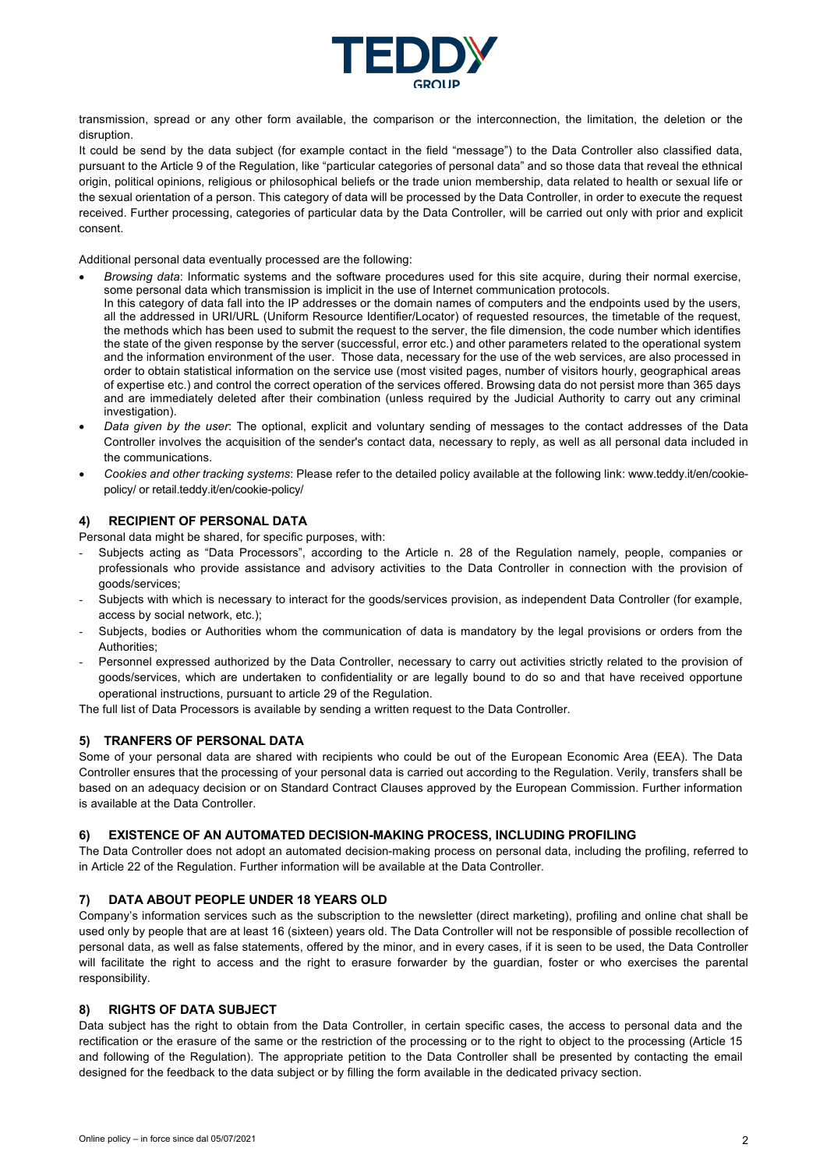

transmission, spread or any other form available, the comparison or the interconnection, the limitation, the deletion or the disruption.

It could be send by the data subject (for example contact in the field "message") to the Data Controller also classified data, pursuant to the Article 9 of the Regulation, like "particular categories of personal data" and so those data that reveal the ethnical origin, political opinions, religious or philosophical beliefs or the trade union membership, data related to health or sexual life or the sexual orientation of a person. This category of data will be processed by the Data Controller, in order to execute the request received. Further processing, categories of particular data by the Data Controller, will be carried out only with prior and explicit consent.

Additional personal data eventually processed are the following:

- *Browsing data*: Informatic systems and the software procedures used for this site acquire, during their normal exercise, some personal data which transmission is implicit in the use of Internet communication protocols.
- In this category of data fall into the IP addresses or the domain names of computers and the endpoints used by the users, all the addressed in URI/URL (Uniform Resource Identifier/Locator) of requested resources, the timetable of the request, the methods which has been used to submit the request to the server, the file dimension, the code number which identifies the state of the given response by the server (successful, error etc.) and other parameters related to the operational system and the information environment of the user. Those data, necessary for the use of the web services, are also processed in order to obtain statistical information on the service use (most visited pages, number of visitors hourly, geographical areas of expertise etc.) and control the correct operation of the services offered. Browsing data do not persist more than 365 days and are immediately deleted after their combination (unless required by the Judicial Authority to carry out any criminal investigation).
- *Data given by the user*: The optional, explicit and voluntary sending of messages to the contact addresses of the Data Controller involves the acquisition of the sender's contact data, necessary to reply, as well as all personal data included in the communications.
- *Cookies and other tracking systems*: Please refer to the detailed policy available at the following link: www.teddy.it/en/cookiepolicy/ or retail.teddy.it/en/cookie-policy/

### **4) RECIPIENT OF PERSONAL DATA**

Personal data might be shared, for specific purposes, with:

- Subjects acting as "Data Processors", according to the Article n. 28 of the Regulation namely, people, companies or professionals who provide assistance and advisory activities to the Data Controller in connection with the provision of goods/services;
- Subjects with which is necessary to interact for the goods/services provision, as independent Data Controller (for example, access by social network, etc.);
- Subjects, bodies or Authorities whom the communication of data is mandatory by the legal provisions or orders from the Authorities;
- Personnel expressed authorized by the Data Controller, necessary to carry out activities strictly related to the provision of goods/services, which are undertaken to confidentiality or are legally bound to do so and that have received opportune operational instructions, pursuant to article 29 of the Regulation.

The full list of Data Processors is available by sending a written request to the Data Controller.

#### **5) TRANFERS OF PERSONAL DATA**

Some of your personal data are shared with recipients who could be out of the European Economic Area (EEA). The Data Controller ensures that the processing of your personal data is carried out according to the Regulation. Verily, transfers shall be based on an adequacy decision or on Standard Contract Clauses approved by the European Commission. Further information is available at the Data Controller.

#### **6) EXISTENCE OF AN AUTOMATED DECISION-MAKING PROCESS, INCLUDING PROFILING**

The Data Controller does not adopt an automated decision-making process on personal data, including the profiling, referred to in Article 22 of the Regulation. Further information will be available at the Data Controller.

#### **7) DATA ABOUT PEOPLE UNDER 18 YEARS OLD**

Company's information services such as the subscription to the newsletter (direct marketing), profiling and online chat shall be used only by people that are at least 16 (sixteen) years old. The Data Controller will not be responsible of possible recollection of personal data, as well as false statements, offered by the minor, and in every cases, if it is seen to be used, the Data Controller will facilitate the right to access and the right to erasure forwarder by the guardian, foster or who exercises the parental responsibility.

# **8) RIGHTS OF DATA SUBJECT**

Data subject has the right to obtain from the Data Controller, in certain specific cases, the access to personal data and the rectification or the erasure of the same or the restriction of the processing or to the right to object to the processing (Article 15 and following of the Regulation). The appropriate petition to the Data Controller shall be presented by contacting the email designed for the feedback to the data subject or by filling the form available in the dedicated privacy section.